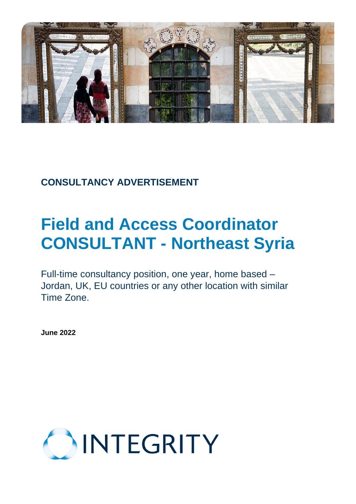

# **CONSULTANCY ADVERTISEMENT**

# **Field and Access Coordinator CONSULTANT - Northeast Syria**

Full-time consultancy position, one year, home based – Jordan, UK, EU countries or any other location with similar Time Zone.

**June 2022**

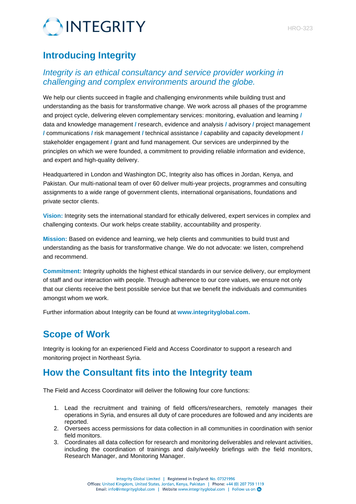

## **Introducing Integrity**

#### *Integrity is an ethical consultancy and service provider working in challenging and complex environments around the globe.*

We help our clients succeed in fragile and challenging environments while building trust and understanding as the basis for transformative change. We work across all phases of the programme and project cycle, delivering eleven complementary services: monitoring, evaluation and learning **/** data and knowledge management **/** research, evidence and analysis **/** advisory **/** project management **/** communications **/** risk management **/** technical assistance **/** capability and capacity development **/** stakeholder engagement **/** grant and fund management. Our services are underpinned by the principles on which we were founded, a commitment to providing reliable information and evidence, and expert and high-quality delivery.

Headquartered in London and Washington DC, Integrity also has offices in Jordan, Kenya, and Pakistan. Our multi-national team of over 60 deliver multi-year projects, programmes and consulting assignments to a wide range of government clients, international organisations, foundations and private sector clients.

**Vision:** Integrity sets the international standard for ethically delivered, expert services in complex and challenging contexts. Our work helps create stability, accountability and prosperity.

**Mission:** Based on evidence and learning, we help clients and communities to build trust and understanding as the basis for transformative change. We do not advocate: we listen, comprehend and recommend.

**Commitment:** Integrity upholds the highest ethical standards in our service delivery, our employment of staff and our interaction with people. Through adherence to our core values, we ensure not only that our clients receive the best possible service but that we benefit the individuals and communities amongst whom we work.

Further information about Integrity can be found at **[www.integrityglobal.com.](http://www.integrityglobal.com/)**

#### **Scope of Work**

Integrity is looking for an experienced Field and Access Coordinator to support a research and monitoring project in Northeast Syria.

#### **How the Consultant fits into the Integrity team**

The Field and Access Coordinator will deliver the following four core functions:

- 1. Lead the recruitment and training of field officers/researchers, remotely manages their operations in Syria, and ensures all duty of care procedures are followed and any incidents are reported.
- 2. Oversees access permissions for data collection in all communities in coordination with senior field monitors.
- 3. Coordinates all data collection for research and monitoring deliverables and relevant activities, including the coordination of trainings and daily/weekly briefings with the field monitors, Research Manager, and Monitoring Manager.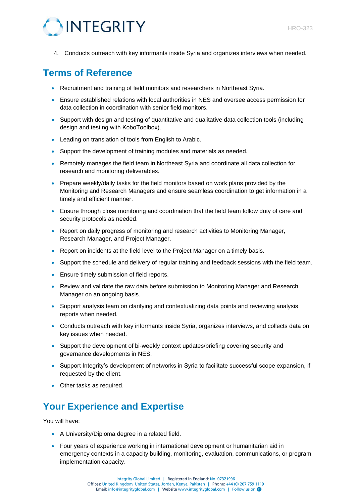

4. Conducts outreach with key informants inside Syria and organizes interviews when needed.

## **Terms of Reference**

- Recruitment and training of field monitors and researchers in Northeast Syria.
- Ensure established relations with local authorities in NES and oversee access permission for data collection in coordination with senior field monitors.
- Support with design and testing of quantitative and qualitative data collection tools (including design and testing with KoboToolbox).
- Leading on translation of tools from English to Arabic.
- Support the development of training modules and materials as needed.
- Remotely manages the field team in Northeast Syria and coordinate all data collection for research and monitoring deliverables.
- Prepare weekly/daily tasks for the field monitors based on work plans provided by the Monitoring and Research Managers and ensure seamless coordination to get information in a timely and efficient manner.
- Ensure through close monitoring and coordination that the field team follow duty of care and security protocols as needed.
- Report on daily progress of monitoring and research activities to Monitoring Manager, Research Manager, and Project Manager.
- Report on incidents at the field level to the Project Manager on a timely basis.
- Support the schedule and delivery of regular training and feedback sessions with the field team.
- Ensure timely submission of field reports.
- Review and validate the raw data before submission to Monitoring Manager and Research Manager on an ongoing basis.
- Support analysis team on clarifying and contextualizing data points and reviewing analysis reports when needed.
- Conducts outreach with key informants inside Syria, organizes interviews, and collects data on key issues when needed.
- Support the development of bi-weekly context updates/briefing covering security and governance developments in NES.
- Support Integrity's development of networks in Syria to facilitate successful scope expansion, if requested by the client.
- Other tasks as required.

## **Your Experience and Expertise**

You will have:

- A University/Diploma degree in a related field.
- Four years of experience working in international development or humanitarian aid in emergency contexts in a capacity building, monitoring, evaluation, communications, or program implementation capacity.